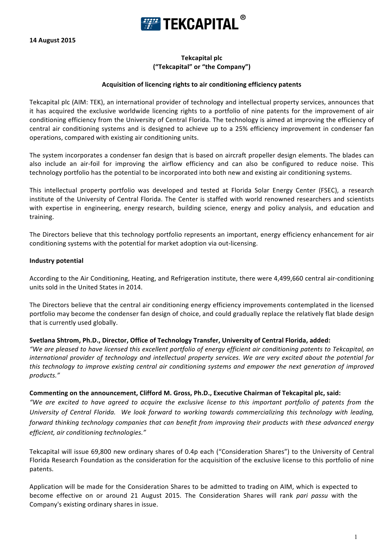

# **Tekcapital plc ("Tekcapital" or "the Company")**

#### **Acquisition of licencing rights to air conditioning efficiency patents**

Tekcapital plc (AIM: TEK), an international provider of technology and intellectual property services, announces that it has acquired the exclusive worldwide licencing rights to a portfolio of nine patents for the improvement of air conditioning efficiency from the University of Central Florida. The technology is aimed at improving the efficiency of central air conditioning systems and is designed to achieve up to a 25% efficiency improvement in condenser fan operations, compared with existing air conditioning units.

The system incorporates a condenser fan design that is based on aircraft propeller design elements. The blades can also include an air-foil for improving the airflow efficiency and can also be configured to reduce noise. This technology portfolio has the potential to be incorporated into both new and existing air conditioning systems.

This intellectual property portfolio was developed and tested at Florida Solar Energy Center (FSEC), a research institute of the University of Central Florida. The Center is staffed with world renowned researchers and scientists with expertise in engineering, energy research, building science, energy and policy analysis, and education and training.

The Directors believe that this technology portfolio represents an important, energy efficiency enhancement for air conditioning systems with the potential for market adoption via out-licensing.

### **Industry potential**

According to the Air Conditioning, Heating, and Refrigeration institute, there were 4,499,660 central air-conditioning units sold in the United States in 2014.

The Directors believe that the central air conditioning energy efficiency improvements contemplated in the licensed portfolio may become the condenser fan design of choice, and could gradually replace the relatively flat blade design that is currently used globally.

### Svetlana Shtrom, Ph.D., Director, Office of Technology Transfer, University of Central Florida, added:

*"We are pleased to have licensed this excellent portfolio of energy efficient air conditioning patents to Tekcapital, an international provider of technology and intellectual property services. We are very excited about the potential for this* technology to improve existing central air conditioning systems and empower the next generation of improved *products."*

### Commenting on the announcement, Clifford M. Gross, Ph.D., Executive Chairman of Tekcapital plc, said:

*"We are excited to have agreed to acquire the exclusive license to this important portfolio of patents from the*  University of Central Florida. We look forward to working towards commercializing this technology with leading, *forward thinking technology companies that can benefit from improving their products with these advanced energy efficient, air conditioning technologies."* 

Tekcapital will issue 69,800 new ordinary shares of 0.4p each ("Consideration Shares") to the University of Central Florida Research Foundation as the consideration for the acquisition of the exclusive license to this portfolio of nine patents.

Application will be made for the Consideration Shares to be admitted to trading on AIM, which is expected to become effective on or around 21 August 2015. The Consideration Shares will rank *pari passu* with the Company's existing ordinary shares in issue.